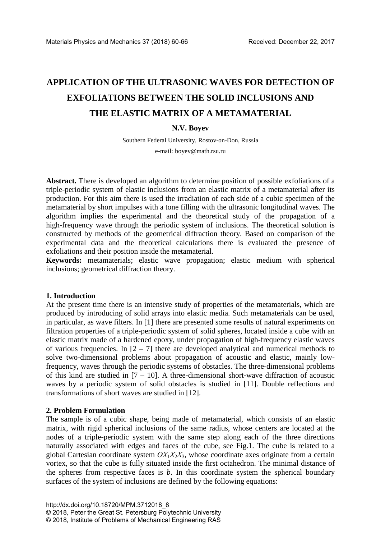# **APPLICATION OF THE ULTRASONIC WAVES FOR DETECTION OF EXFOLIATIONS BETWEEN THE SOLID INCLUSIONS AND THE ELASTIC MATRIX OF A METAMATERIAL**

# **N.V. Boyev**

Southern Federal University, Rostov-on-Don, Russia

e-mail: boyev@math.rsu.ru

**Abstract.** There is developed an algorithm to determine position of possible exfoliations of a triple-periodic system of elastic inclusions from an elastic matrix of a metamaterial after its production. For this aim there is used the irradiation of each side of a cubic specimen of the metamaterial by short impulses with a tone filling with the ultrasonic longitudinal waves. The algorithm implies the experimental and the theoretical study of the propagation of a high-frequency wave through the periodic system of inclusions. The theoretical solution is constructed by methods of the geometrical diffraction theory. Based on comparison of the experimental data and the theoretical calculations there is evaluated the presence of exfoliations and their position inside the metamaterial.

**Keywords:** metamaterials; elastic wave propagation; elastic medium with spherical inclusions; geometrical diffraction theory.

#### **1. Introduction**

At the present time there is an intensive study of properties of the metamaterials, which are produced by introducing of solid arrays into elastic media. Such metamaterials can be used, in particular, as wave filters. In [1] there are presented some results of natural experiments on filtration properties of a triple-periodic system of solid spheres, located inside a cube with an elastic matrix made of a hardened epoxy, under propagation of high-frequency elastic waves of various frequencies. In  $[2 - 7]$  there are developed analytical and numerical methods to solve two-dimensional problems about propagation of acoustic and elastic, mainly lowfrequency, waves through the periodic systems of obstacles. The three-dimensional problems of this kind are studied in  $[7 - 10]$ . A three-dimensional short-wave diffraction of acoustic waves by a periodic system of solid obstacles is studied in [11]. Double reflections and transformations of short waves are studied in [12].

### **2. Problem Formulation**

The sample is of a cubic shape, being made of metamaterial, which consists of an elastic matrix, with rigid spherical inclusions of the same radius, whose centers are located at the nodes of a triple-periodic system with the same step along each of the three directions naturally associated with edges and faces of the cube, see Fig.1. The cube is related to a global Cartesian coordinate system *ОХ*1*Х*2*Х*3, whose coordinate axes originate from a certain vortex, so that the cube is fully situated inside the first octahedron. The minimal distance of the spheres from respective faces is *b*. In this coordinate system the spherical boundary surfaces of the system of inclusions are defined by the following equations: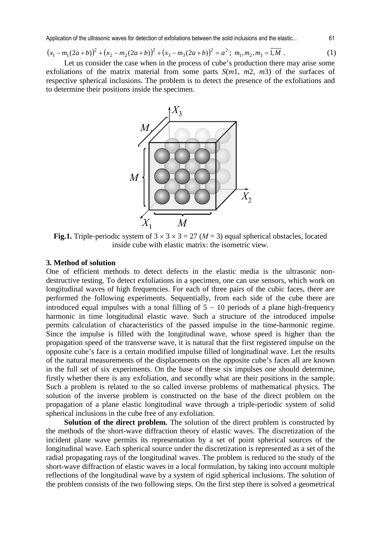Application of the ultrasonic waves for detection of exfoliations between the solid inclusions and the elastic... 61

$$
(x_1 - m_1(2a+b))^2 + (x_2 - m_2(2a+b))^2 + (x_3 - m_3(2a+b))^2 = a^2; \ m_1, m_2, m_3 = \overline{1,M} \tag{1}
$$

Let us consider the case when in the process of cube's production there may arise some exfoliations of the matrix material from some parts *S*(*m*1, *m*2, *m*3) of the surfaces of respective spherical inclusions. The problem is to detect the presence of the exfoliations and to determine their positions inside the specimen.



**Fig.1.** Triple-periodic system of  $3 \times 3 \times 3 = 27$  ( $M = 3$ ) equal spherical obstacles, located inside cube with elastic matrix: the isometric view.

# **3. Method of solution**

One of efficient methods to detect defects in the elastic media is the ultrasonic nondestructive testing. To detect exfoliations in a specimen, one can use sensors, which work on longitudinal waves of high frequencies. For each of three pairs of the cubic faces, there are performed the following experiments. Sequentially, from each side of the cube there are introduced equal impulses with a tonal filling of  $5 - 10$  periods of a plane high-frequency harmonic in time longitudinal elastic wave. Such a structure of the introduced impulse permits calculation of characteristics of the passed impulse in the time-harmonic regime. Since the impulse is filled with the longitudinal wave, whose speed is higher than the propagation speed of the transverse wave, it is natural that the first registered impulse on the opposite cube's face is a certain modified impulse filled of longitudinal wave. Let the results of the natural measurements of the displacements on the opposite cube's faces all are known in the full set of six experiments. On the base of these six impulses one should determine, firstly whether there is any exfoliation, and secondly what are their positions in the sample. Such a problem is related to the so called inverse problems of mathematical physics. The solution of the inverse problem is constructed on the base of the direct problem on the propagation of a plane elastic longitudinal wave through a triple-periodic system of solid spherical inclusions in the cube free of any exfoliation.

**Solution of the direct problem.** The solution of the direct problem is constructed by the methods of the short-wave diffraction theory of elastic waves. The discretization of the incident plane wave permits its representation by a set of point spherical sources of the longitudinal wave. Each spherical source under the discretization is represented as a set of the radial propagating rays of the longitudinal waves. The problem is reduced to the study of the short-wave diffraction of elastic waves in a local formulation, by taking into account multiple reflections of the longitudinal wave by a system of rigid spherical inclusions. The solution of the problem consists of the two following steps. On the first step there is solved a geometrical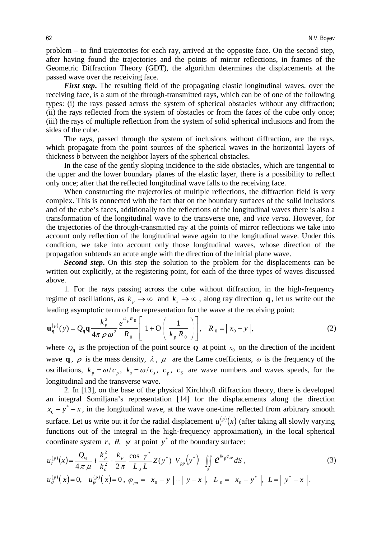problem – to find trajectories for each ray, arrived at the opposite face. On the second step, after having found the trajectories and the points of mirror reflections, in frames of the Geometric Diffraction Theory (GDT), the algorithm determines the displacements at the passed wave over the receiving face.

*First step***.** The resulting field of the propagating elastic longitudinal waves, over the receiving face, is a sum of the through-transmitted rays, which can be of one of the following types: (i) the rays passed across the system of spherical obstacles without any diffraction; (ii) the rays reflected from the system of obstacles or from the faces of the cube only once; (iii) the rays of multiple reflection from the system of solid spherical inclusions and from the sides of the cube.

The rays, passed through the system of inclusions without diffraction, are the rays, which propagate from the point sources of the spherical waves in the horizontal layers of thickness *b* between the neighbor layers of the spherical obstacles.

In the case of the gently sloping incidence to the side obstacles, which are tangential to the upper and the lower boundary planes of the elastic layer, there is a possibility to reflect only once; after that the reflected longitudinal wave falls to the receiving face.

When constructing the trajectories of multiple reflections, the diffraction field is very complex. This is connected with the fact that on the boundary surfaces of the solid inclusions and of the cube's faces, additionally to the reflections of the longitudinal waves there is also a transformation of the longitudinal wave to the transverse one, and *vice versa*. However, for the trajectories of the through-transmitted ray at the points of mirror reflections we take into account only reflection of the longitudinal wave again to the longitudinal wave. Under this condition, we take into account only those longitudinal waves, whose direction of the propagation subtends an acute angle with the direction of the initial plane wave.

*Second step***.** On this step the solution to the problem for the displacements can be written out explicitly, at the registering point, for each of the three types of waves discussed above.

1. For the rays passing across the cube without diffraction, in the high-frequency regime of oscillations, as  $k_p \to \infty$  and  $k_s \to \infty$ , along ray direction **q**, let us write out the leading asymptotic term of the representation for the wave at the receiving point:

$$
\mathbf{u}_{\mathbf{q}}^{(p)}(y) = Q_{\mathbf{q}} \mathbf{q} \frac{k_p^2}{4\pi \rho \omega^2} \frac{e^{ik_p R_0}}{R_0} \left[ 1 + \mathcal{O}\left(\frac{1}{k_p R_0}\right) \right], \quad R_0 = |x_0 - y|,
$$
 (2)

where  $Q_{q}$  is the projection of the point source **Q** at point  $x_{0}$  on the direction of the incident wave **q**,  $\rho$  is the mass density,  $\lambda$ ,  $\mu$  are the Lame coefficients,  $\omega$  is the frequency of the oscillations,  $k_p = \omega / c_p$ ,  $k_s = \omega / c_s$ ,  $c_p$ ,  $c_s$  are wave numbers and waves speeds, for the longitudinal and the transverse wave.

2. In [13], on the base of the physical Kirchhoff diffraction theory, there is developed an integral Somiljana's representation [14] for the displacements along the direction  $x_0 - y^* - x$ , in the longitudinal wave, at the wave one-time reflected from arbitrary smooth surface. Let us write out it for the radial displacement  $u_r^{(p)}(x)$  (after taking all slowly varying functions out of the integral in the high-frequency approximation), in the local spherical coordinate system *r*,  $\theta$ ,  $\psi$  at point  $y^*$  of the boundary surface:

$$
u_r^{(p)}(x) = \frac{Q_q}{4\pi \mu} i \frac{k_p^2}{k_s^2} \cdot \frac{k_p}{2\pi} \frac{\cos \gamma^*}{L_0 L} Z(y^*) V_{pp}(y^*) \iint_S e^{ik_p \varphi_{pp}} dS,
$$
  
\n
$$
u_{\theta}^{(p)}(x) = 0, \quad u_{\psi}^{(p)}(x) = 0, \quad \varphi_{pp} = |x_0 - y| + |y - x|, \quad L_0 = |x_0 - y^*|, \quad L = |y^* - x|.
$$
\n(3)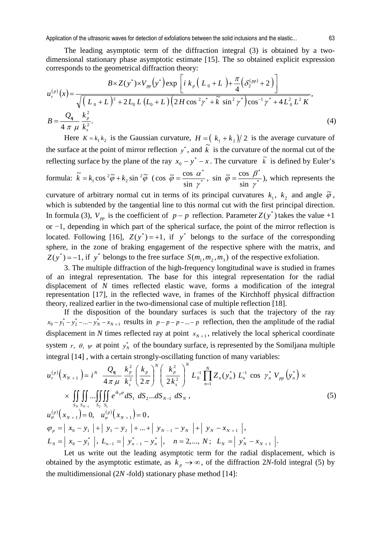Application of the ultrasonic waves for detection of exfoliations between the solid inclusions and the elastic... 63

The leading asymptotic term of the diffraction integral (3) is obtained by a twodimensional stationary phase asymptotic estimate [15]. The so obtained explicit expression corresponds to the geometrical diffraction theory:

$$
u_r^{(p)}(x) = \frac{B \times Z(y^*) \times V_{pp}(y^*) \exp\left[i k_p \left(L_0 + L_0\right) + \frac{\pi}{4} \left(\delta_2^{(pp)} + 2\right)\right]}{\sqrt{\left(L_0 + L_0\right)^2 + 2L_0 L \left(L_0 + L_0\right) \left(2H \cos^2 \gamma^* + \tilde{k} \sin^2 \gamma^*\right) \cos^{-1} \gamma^* + 4L_0^2 L^2 K}},
$$
\n
$$
B = \frac{Q_q}{4 \pi \mu} \frac{k_p^2}{k_s^2}.
$$
\n(4)

Here  $K = k_1 k_2$  is the Gaussian curvature,  $H = (k_1 + k_2)/2$  is the average curvature of the surface at the point of mirror reflection  $y^*$ , and  $\vec{k}$  is the curvature of the normal cut of the reflecting surface by the plane of the ray  $x_0 - y^* - x$ . The curvature  $\tilde{k}$  is defined by Euler's formula:  $\tilde{k} = k_1 \cos^2 \tilde{\varphi} + k_2 \sin^2 \tilde{\varphi}$  $\tilde{k} = k_1 \cos^2 \tilde{\varphi} + k_2 \sin^2 \tilde{\varphi}$  (cos  $\tilde{\varphi} = \frac{\cos \alpha}{\sin \alpha}$ \* sin  $\cos \ \tilde{\varphi} = \frac{\cos \ \theta}{\cdot \cdot \cdot}$ γ  $\widetilde{\varphi} = \frac{\cos \alpha}{\sin \alpha^*}, \sin \widetilde{\varphi} = \frac{\cos \beta}{\sin \alpha^*}$ \* sin  $\sin \ \widetilde{\varphi} = \frac{\cos \ \pi}{\sqrt{2}}$ γ  $\tilde{\varphi} = \frac{\cos \beta^2}{1 - \sin \beta^2}$ , which represents the

curvature of arbitrary normal cut in terms of its principal curvatures  $k_1$ ,  $k_2$  and angle  $\tilde{\varphi}$ , which is subtended by the tangential line to this normal cut with the first principal direction. In formula (3),  $V_{pp}$  is the coefficient of  $p - p$  reflection. Parameter  $Z(y^*)$  takes the value +1 or −1, depending in which part of the spherical surface, the point of the mirror reflection is located. Following [16],  $Z(y^*) = +1$ , if y<sup>\*</sup> belongs to the surface of the corresponding sphere, in the zone of braking engagement of the respective sphere with the matrix, and  $Z(y^*) = -1$ , if y<sup>\*</sup> belongs to the free surface  $S(m_1, m_2, m_3)$  of the respective exfoliation.

3. The multiple diffraction of the high-frequency longitudinal wave is studied in frames of an integral representation. The base for this integral representation for the radial displacement of *N* times reflected elastic wave, forms a modification of the integral representation [17], in the reflected wave, in frames of the Kirchhoff physical diffraction theory, realized earlier in the two-dimensional case of multiple reflection [18].

If the disposition of the boundary surfaces is such that the trajectory of the ray  $x_0 - y_1^* - y_2^* - ... - y_N^* - x_{N+1}$  results in  $p - p - ... - p$  reflection, then the amplitude of the radial displacement in *N* times reflected ray at point  $x_{N+1}$ , relatively the local spherical coordinate system *r*,  $\theta$ ,  $\psi$  at point  $y_N^*$  of the boundary surface, is represented by the Somiljana multiple integral [14] , with a certain strongly-oscillating function of many variables:

$$
u_r^{(p)}(x_{N+1}) = i^N \frac{Q_q}{4\pi \mu} \frac{k_p^2}{k_s^2} \left(\frac{k_p}{2\pi}\right)^N \left(\frac{k_p^2}{2k_s^2}\right)^N L_0^{-1} \prod_{n=1}^N Z_n(y_n^*) L_n^{-1} \cos \gamma_n^* V_{pp}(y_n^*) \times \times \iint_{S_N} \iint_{S_{N-1}} \iint_{S_2} e^{ik_p \varphi} dS_1 dS_2...dS_{N-1} dS_N, u_{\theta}^{(p)}(x_{N+1}) = 0, \quad u_{\psi}^{(p)}(x_{N+1}) = 0, \varphi_p = |x_0 - y_1| + |y_1 - y_2| + ... + |y_{N-1} - y_N| + |y_N - x_{N+1}|, \nL_0 = |x_0 - y_1^*|, L_{n-1} = |y_{n-1}^* - y_n^*|, \quad n = 2, ..., N; \quad L_N = |y_N^* - x_{N+1}|.
$$
\n
$$
(5)
$$

Let us write out the leading asymptotic term for the radial displacement, which is obtained by the asymptotic estimate, as  $k_p \rightarrow \infty$ , of the diffraction 2*N*-fold integral (5) by the multidimensional  $(2N$ -fold) stationary phase method [14]: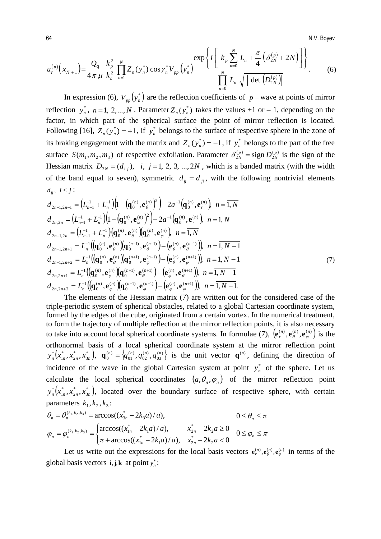64 N.V. Boyev

$$
u_r^{(p)}(x_{N+1}) = \frac{Q_q}{4\pi \mu} \frac{k_p^2}{k_s^2} \prod_{n=1}^N Z_n(y_n^*) \cos \gamma_n^* V_{pp}(y_n^*) \frac{\exp\left\{i \left[ k_p \sum_{n=0}^N L_n + \frac{\pi}{4} \left( \delta_{2N}^{(p)} + 2N \right) \right] \right\}}{\prod_{n=0}^N L_n \sqrt{|\det \left( D_{2N}^{(p)} \right)|}}.
$$
(6)

In expression (6),  $V_{pp}(y_n^*)$  are the reflection coefficients of *p* − wave at points of mirror reflection  $y_n^*$ ,  $n = 1, 2, ..., N$ . Parameter  $Z_n(y_n^*)$  takes the values +1 or – 1, depending on the factor, in which part of the spherical surface the point of mirror reflection is located. Following [16],  $Z_n(y_n^*) = +1$ , if  $y_n^*$  belongs to the surface of respective sphere in the zone of its braking engagement with the matrix and  $Z_n(y_n^*) = -1$ , if  $y_n^*$  belongs to the part of the free surface  $S(m_1, m_2, m_3)$  of respective exfoliation. Parameter  $\delta_{2N}^{(p)} = \text{sign } D_{2N}^{(p)}$  $\delta_{2N}^{(p)} = \text{sign } D_{2N}^{(p)}$  is the sign of the Hessian matrix  $D_{2N} = (d_{ij}), i, j = 1, 2, 3, ..., 2N$ , which is a banded matrix (with the width of the band equal to seven), symmetric  $d_{ii} = d_{ii}$ , with the following nontrivial elements  $d_{ij}$ ,  $i \leq j$ :

$$
d_{2n-1,2n-1} = (L_{n-1}^{-1} + L_n^{-1}) (1 - (q_n^{(n)}, e_n^{(n)})^2) - 2a^{-1} (q_n^{(n)}, e_r^{(n)}) \quad n = \overline{1, N}
$$
  
\n
$$
d_{2n,2n} = (L_{n-1}^{-1} + L_n^{-1}) (1 - (q_n^{(n)}, e_\varphi^{(n)})^2) - 2a^{-1} (q_n^{(n)}, e_r^{(n)}) \quad n = \overline{1, N}
$$
  
\n
$$
d_{2n-1,2n} = (L_{n-1}^{-1} + L_n^{-1}) (q_n^{(n)}, e_\varphi^{(n)}) (q_n^{(n)}, e_\varphi^{(n)}) \quad n = \overline{1, N}
$$
  
\n
$$
d_{2n-1,2n+1} = L_n^{-1} ((q_n^{(n)}, e_\varphi^{(n)}) (q_n^{(n+1)}, e_\varphi^{(n+1)}) - (e_\varphi^{(n)}, e_\varphi^{(n+1)}) ) \quad n = \overline{1, N-1}
$$
  
\n
$$
d_{2n-1,2n+2} = L_n^{-1} ((q_n^{(n)}, e_\varphi^{(n)}) (q_n^{(n+1)}, e_\varphi^{(n+1)}) - (e_\varphi^{(n)}, e_\varphi^{(n+1)}) ) \quad n = \overline{1, N-1}
$$
  
\n
$$
d_{2n,2n+1} = L_n^{-1} ((q_n^{(n)}, e_\varphi^{(n)}) (q_n^{(n+1)}, e_\varphi^{(n+1)}) - (e_\varphi^{(n)}, e_\varphi^{(n+1)}) ) \quad n = \overline{1, N-1}
$$
  
\n
$$
d_{2n,2n+2} = L_n^{-1} ((q_n^{(n)}, e_\varphi^{(n)}) (q_n^{(n+1)}, e_\varphi^{(n+1)}) - (e_\varphi^{(n)}, e_\varphi^{(n+1)}) ) \quad n = \overline{1, N-1}
$$
  
\n
$$
d_{2n,2n+2} = L_n^{-1} ((q_n^{(n)}, e_\varphi^{(n)}) (q_n^{(n+1)}, e_\varphi^{(n+1)}) - (e_\varphi^{(n)}, e_\varphi^{(n+1)}) ) \quad n = \overline{1, N-1}.
$$
  
\n(7)

The elements of the Hessian matrix (7) are written out for the considered case of the triple-periodic system of spherical obstacles, related to a global Cartesian coordinate system, formed by the edges of the cube, originated from a certain vortex. In the numerical treatment, to form the trajectory of multiple reflection at the mirror reflection points, it is also necessary to take into account local spherical coordinate systems. In formulae (7),  $(e_r^{(n)}, e_\theta^{(n)}, e_\phi^{(n)})$  is the orthonormal basis of a local spherical coordinate system at the mirror reflection point  $\left( x^{*}_{1n},x^{*}_{2n},x^{*}_{3n}\right)$ \* 2 \*  $\mathbf{y}_{n}^{*}\big(x_{1n}^{*},x_{2n}^{*},x_{3n}^{*}\big), \ \ \mathbf{q}_{0}^{(n)}=\big\{q_{01}^{(n)},q_{02}^{(n)},q_{03}^{(n)}\big\}$  $(n)$ 02  $(n)$ 01  $\mathbf{q}_0^{(n)} = \{q_{01}^{(n)}, q_{02}^{(n)}, q_{03}^{(n)}\}$  is the unit vector  $\mathbf{q}^{(n)}$ , defining the direction of incidence of the wave in the global Cartesian system at point  $y_n^*$  of the sphere. Let us calculate the local spherical coordinates  $(a, \theta_n, \varphi_n)$  of the mirror reflection point  $\left( x^{*}_{1n},x^{*}_{2n},x^{*}_{3n}\right)$ \* 2 \*  $y_n^*(x_{1n}^*, x_{2n}^*, x_{3n}^*)$ , located over the boundary surface of respective sphere, with certain parameters  $k_1, k_2, k_3$ :

$$
\theta_n = \theta_n^{(k_1, k_2, k_3)} = \arccos((x_{3n}^* - 2k_3 a)/a), \qquad 0 \le \theta_n \le \pi
$$
  

$$
\varphi_n = \varphi_n^{(k_1, k_2, k_3)} = \begin{cases} \arccos((x_{1n}^* - 2k_1 a)/a), & x_{2n}^* - 2k_2 a \ge 0 \\ \pi + \arccos((x_{1n}^* - 2k_1 a)/a), & x_{2n}^* - 2k_2 a < 0 \end{cases} \qquad 0 \le \varphi_n \le \pi
$$

Let us write out the expressions for the local basis vectors  $e_r^{(n)}$ ,  $e_\theta^{(n)}$ ,  $e_\phi^{(n)}$  in terms of the global basis vectors **i**, **j**,**k** at point  $y_n^*$ :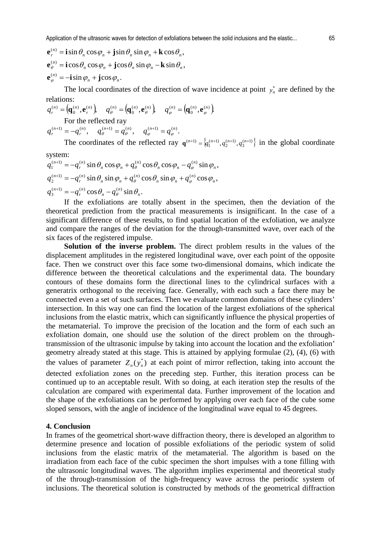The local coordinates of the direction of wave incidence at point  $y_n^*$  are defined by the relations:

 $\left(\mathbf{q}_{0}^{(n)},\mathbf{e}_{r}^{(n)}\right),\quad q_{\theta}^{(n)}=\left(\mathbf{q}_{0}^{(n)},\mathbf{e}_{\theta}^{(n)}\right),\quad q_{\varphi}^{(n)}=\left(\mathbf{q}_{0}^{(n)},\mathbf{e}_{\varphi}^{(n)}\right).$  $(n)$   $\alpha^{(n)}$   $\alpha^{(n)}$ 0  $(n)$   $\alpha^{(n)}$   $\alpha^{(n)}$  $\boldsymbol{0}$  $\alpha^{(n)} = \alpha^{(n)} \cdot \alpha^{(n)}$   $\alpha^{(n)} = \alpha^{(n)} \cdot \alpha^{(n)}$   $\alpha^{(n)} = \alpha^{(n)} \cdot \alpha^{(n)}$  $q_r^{(n)} = \left(\!\mathbf{q}_0^{(n)}, \mathbf{e}_r^{(n)}\right)\!\!, \quad q_\theta^{(n)} = \left(\!\mathbf{q}_0^{(n)}, \mathbf{e}_\theta^{(n)}\right)\!\!, \quad q_\varphi^{(n)} = \left(\!\mathbf{q}_0^{(n)}, \mathbf{e}_\varphi^{(n)}\right)\!\!,$ For the reflected ray  $q_r^{(n+1)} = -q_r^{(n)}, \quad q_\theta^{(n+1)} = q_\theta^{(n)}, \quad q_\phi^{(n+1)} = q_\phi^{(n)}.$  $q_r^{(n+1)} = -q_r^{(n)}, \quad q_\theta^{(n+1)} = q_\theta^{(n)}, \quad q_\phi^{(n+1)} = q_\phi^{(n)}$ 

The coordinates of the reflected ray  ${\bf q}^{(n+1)} = \{q_1^{(n+1)}, q_2^{(n+1)}, q_3^{(n+1)}\}$  in the global coordinate

system:  $c_n^{(n+1)} = -q_r^{(n)} \cos \theta_n - q_\theta^{(n)} \sin \theta_n.$  $s_2^{(n+1)} = -q_r^{(n)} \sin \theta_n \sin \varphi_n + q_\theta^{(n)} \cos \theta_n \sin \varphi_n + q_\phi^{(n)} \cos \varphi_n,$  $c_n^{(n+1)} = -q_n^{(n)} \sin \theta_n \cos \varphi_n + q_\theta^{(n)} \cos \theta_n \cos \varphi_n - q_\theta^{(n)} \sin \varphi_n$  $y_r$   $\cos\theta_n$   $y_\theta$   $\sin\theta_n$ 2 -  $q_r$   $\sin \theta_n \sin \psi_n + q_\theta$   $\cos \theta_n \sin \psi_n + q_\phi$   $\cos \psi_n$  $\mathbf{q}_1 = \mathbf{q}_r$   $\sin \theta_n \cos \theta_n + \mathbf{q}_\theta$   $\cos \theta_n \cos \theta_n$   $\mathbf{q}_\phi$   $\sin \theta_n$ *n n n r*  $q_3^{(n+1)} = -q_r^{(n)} \cos \theta_n - q_\theta^{(n)} \sin \theta_r$ *n*  $n \sin \varphi_n$ *n*  $n^{100}$   $\mu$ *n r*  $q_2^{(n+1)} = -q_r^{(n)} \sin \theta_n \sin \varphi_n + q_\theta^{(n)} \cos \theta_n \sin \varphi_n + q_\varphi^{(n)} \cos \varphi$ *n*  $n \cos \varphi_n$ *n*  $n \cos \varphi_n$ *n r*  $q_1^{(n+1)} = -q_r^{(n)} \sin \theta_n \cos \varphi_n + q_\theta^{(n)} \cos \theta_n \cos \varphi_n - q_\varphi^{(n)} \sin \varphi$ 

If the exfoliations are totally absent in the specimen, then the deviation of the theoretical prediction from the practical measurements is insignificant. In the case of a significant difference of these results, to find spatial location of the exfoliation, we analyze and compare the ranges of the deviation for the through-transmitted wave, over each of the six faces of the registered impulse.

**Solution of the inverse problem.** The direct problem results in the values of the displacement amplitudes in the registered longitudinal wave, over each point of the opposite face. Then we construct over this face some two-dimensional domains, which indicate the difference between the theoretical calculations and the experimental data. The boundary contours of these domains form the directional lines to the cylindrical surfaces with a generatrix orthogonal to the receiving face. Generally, with each such a face there may be connected even a set of such surfaces. Then we evaluate common domains of these cylinders' intersection. In this way one can find the location of the largest exfoliations of the spherical inclusions from the elastic matrix, which can significantly influence the physical properties of the metamaterial. To improve the precision of the location and the form of each such an exfoliation domain, one should use the solution of the direct problem on the throughtransmission of the ultrasonic impulse by taking into account the location and the exfoliation' geometry already stated at this stage. This is attained by applying formulae (2), (4), (6) with the values of parameter  $Z_n(y_n^*)$  at each point of mirror reflection, taking into account the detected exfoliation zones on the preceding step. Further, this iteration process can be continued up to an acceptable result. With so doing, at each iteration step the results of the calculation are compared with experimental data. Further improvement of the location and the shape of the exfoliations can be performed by applying over each face of the cube some sloped sensors, with the angle of incidence of the longitudinal wave equal to 45 degrees.

#### **4. Conclusion**

In frames of the geometrical short-wave diffraction theory, there is developed an algorithm to determine presence and location of possible exfoliations of the periodic system of solid inclusions from the elastic matrix of the metamaterial. The algorithm is based on the irradiation from each face of the cubic specimen the short impulses with a tone filling with the ultrasonic longitudinal waves. The algorithm implies experimental and theoretical study of the through-transmission of the high-frequency wave across the periodic system of inclusions. The theoretical solution is constructed by methods of the geometrical diffraction